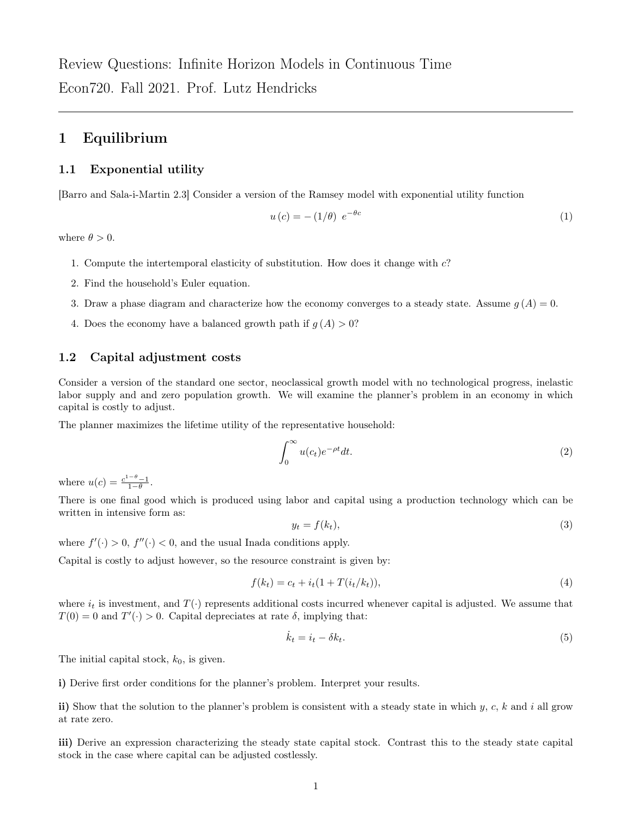# 1 Equilibrium

# 1.1 Exponential utility

[Barro and Sala-i-Martin 2.3] Consider a version of the Ramsey model with exponential utility function

$$
u\left(c\right) = -\left(1/\theta\right) e^{-\theta c} \tag{1}
$$

where  $\theta > 0$ .

- 1. Compute the intertemporal elasticity of substitution. How does it change with c?
- 2. Find the household's Euler equation.
- 3. Draw a phase diagram and characterize how the economy converges to a steady state. Assume  $g(A) = 0$ .
- 4. Does the economy have a balanced growth path if  $g(A) > 0$ ?

# 1.2 Capital adjustment costs

Consider a version of the standard one sector, neoclassical growth model with no technological progress, inelastic labor supply and and zero population growth. We will examine the planner's problem in an economy in which capital is costly to adjust.

The planner maximizes the lifetime utility of the representative household:

$$
\int_0^\infty u(c_t)e^{-\rho t}dt.
$$
\n(2)

where  $u(c) = \frac{c^{1-\theta}-1}{1-\theta}$ .

There is one final good which is produced using labor and capital using a production technology which can be written in intensive form as:

$$
y_t = f(k_t),\tag{3}
$$

where  $f'(\cdot) > 0$ ,  $f''(\cdot) < 0$ , and the usual Inada conditions apply.

Capital is costly to adjust however, so the resource constraint is given by:

$$
f(k_t) = c_t + i_t(1 + T(i_t/k_t)),
$$
\n(4)

where  $i_t$  is investment, and  $T(\cdot)$  represents additional costs incurred whenever capital is adjusted. We assume that  $T(0) = 0$  and  $T'(\cdot) > 0$ . Capital depreciates at rate  $\delta$ , implying that:

$$
\dot{k}_t = i_t - \delta k_t. \tag{5}
$$

The initial capital stock,  $k_0$ , is given.

i) Derive first order conditions for the planner's problem. Interpret your results.

ii) Show that the solution to the planner's problem is consistent with a steady state in which  $y, c, k$  and i all grow at rate zero.

iii) Derive an expression characterizing the steady state capital stock. Contrast this to the steady state capital stock in the case where capital can be adjusted costlessly.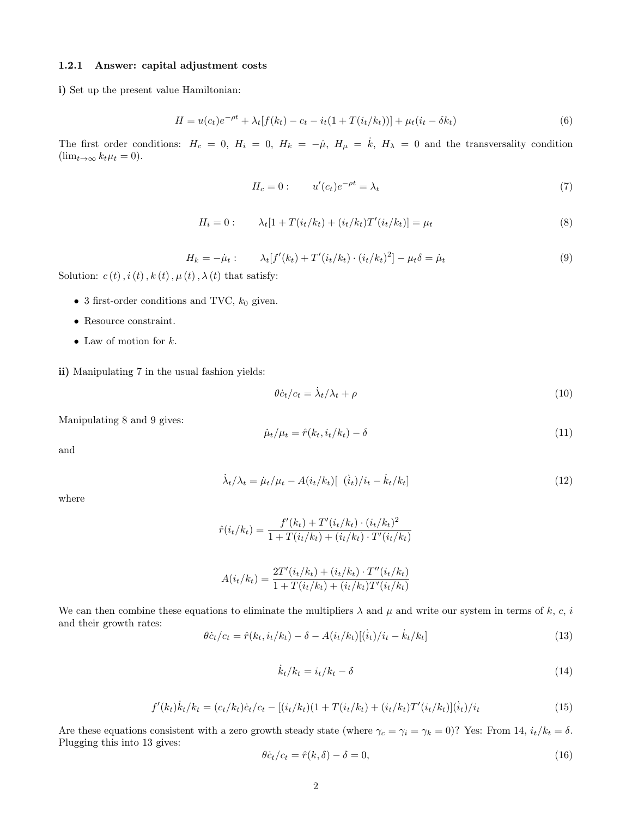#### 1.2.1 Answer: capital adjustment costs

i) Set up the present value Hamiltonian:

$$
H = u(c_t)e^{-\rho t} + \lambda_t[f(k_t) - c_t - i_t(1 + T(i_t/k_t))] + \mu_t(i_t - \delta k_t)
$$
\n(6)

The first order conditions:  $H_c = 0$ ,  $H_i = 0$ ,  $H_k = -\mu$ ,  $H_\mu = \dot{k}$ ,  $H_\lambda = 0$  and the transversality condition  $(\lim_{t\to\infty}k_t\mu_t=0).$ 

$$
H_c = 0: \t u'(c_t)e^{-\rho t} = \lambda_t \t (7)
$$

$$
H_i = 0: \qquad \lambda_t[1 + T(i_t/k_t) + (i_t/k_t)T'(i_t/k_t)] = \mu_t \tag{8}
$$

$$
H_k = -\mu_t: \qquad \lambda_t[f'(k_t) + T'(i_t/k_t) \cdot (i_t/k_t)^2] - \mu_t \delta = \mu_t \tag{9}
$$

Solution:  $c(t)$ ,  $i(t)$ ,  $k(t)$ ,  $\mu(t)$ ,  $\lambda(t)$  that satisfy:

- 3 first-order conditions and TVC,  $k_0$  given.
- Resource constraint.
- Law of motion for  $k$ .

ii) Manipulating 7 in the usual fashion yields:

$$
\theta c_t/c_t = \dot{\lambda}_t/\lambda_t + \rho \tag{10}
$$

Manipulating 8 and 9 gives:

$$
\dot{\mu}_t/\mu_t = \hat{r}(k_t, i_t/k_t) - \delta \tag{11}
$$

and

$$
\dot{\lambda}_t / \lambda_t = \dot{\mu}_t / \mu_t - A(i_t / k_t) [\dot{i}_t / i_t - \dot{k}_t / k_t]
$$
\n(12)

where

$$
\hat{r}(i_t/k_t) = \frac{f'(k_t) + T'(i_t/k_t) \cdot (i_t/k_t)^2}{1 + T(i_t/k_t) + (i_t/k_t) \cdot T'(i_t/k_t)}
$$

$$
A(i_t/k_t) = \frac{2T'(i_t/k_t) + (i_t/k_t) \cdot T''(i_t/k_t)}{1 + T(i_t/k_t) + (i_t/k_t)T'(i_t/k_t)}
$$

We can then combine these equations to eliminate the multipliers  $\lambda$  and  $\mu$  and write our system in terms of k, c, i and their growth rates:

$$
\theta \dot{c}_t / c_t = \hat{r}(k_t, i_t / k_t) - \delta - A(i_t / k_t) [(\dot{i}_t) / i_t - \dot{k}_t / k_t]
$$
\n(13)

$$
\dot{k}_t/k_t = \dot{i}_t/k_t - \delta \tag{14}
$$

$$
f'(k_t)\dot{k}_t/k_t = (c_t/k_t)\dot{c}_t/c_t - [(i_t/k_t)(1 + T(i_t/k_t) + (i_t/k_t)T'(i_t/k_t)](\dot{i}_t)/i_t
$$
\n(15)

Are these equations consistent with a zero growth steady state (where  $\gamma_c = \gamma_i = \gamma_k = 0$ )? Yes: From 14,  $i_t/k_t = \delta$ . Plugging this into 13 gives:

$$
\theta \dot{c}_t/c_t = \hat{r}(k, \delta) - \delta = 0,\tag{16}
$$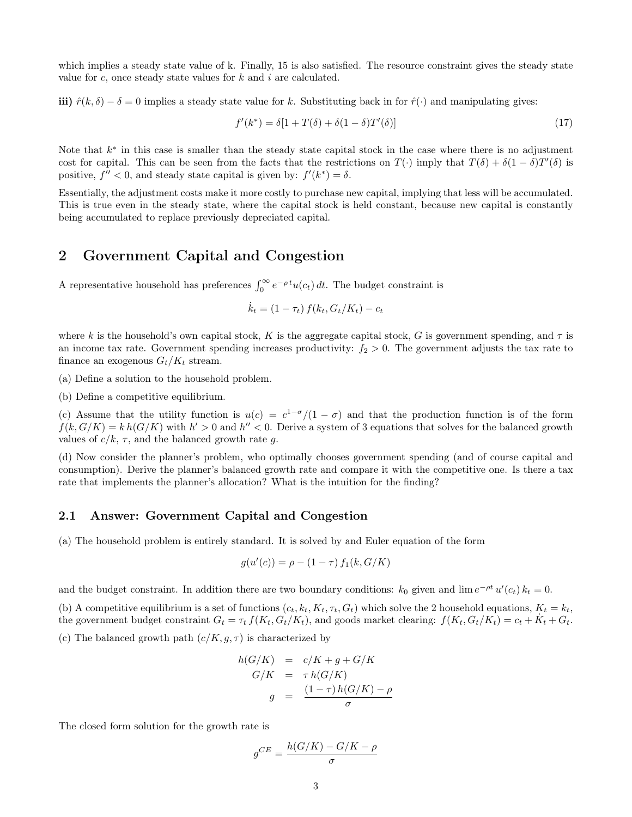which implies a steady state value of k. Finally, 15 is also satisfied. The resource constraint gives the steady state value for  $c$ , once steady state values for  $k$  and  $i$  are calculated.

iii)  $\hat{r}(k, \delta) - \delta = 0$  implies a steady state value for k. Substituting back in for  $\hat{r}(\cdot)$  and manipulating gives:

$$
f'(k^*) = \delta[1 + T(\delta) + \delta(1 - \delta)T'(\delta)] \tag{17}
$$

Note that  $k^*$  in this case is smaller than the steady state capital stock in the case where there is no adjustment cost for capital. This can be seen from the facts that the restrictions on  $T(\cdot)$  imply that  $T(\delta) + \delta(1-\delta)T'(\delta)$  is positive,  $f'' < 0$ , and steady state capital is given by:  $f'(k^*) = \delta$ .

Essentially, the adjustment costs make it more costly to purchase new capital, implying that less will be accumulated. This is true even in the steady state, where the capital stock is held constant, because new capital is constantly being accumulated to replace previously depreciated capital.

# 2 Government Capital and Congestion

A representative household has preferences  $\int_0^\infty e^{-\rho t} u(c_t) dt$ . The budget constraint is

$$
\dot{k}_t = (1 - \tau_t) f(k_t, G_t / K_t) - c_t
$$

where k is the household's own capital stock, K is the aggregate capital stock, G is government spending, and  $\tau$  is an income tax rate. Government spending increases productivity:  $f_2 > 0$ . The government adjusts the tax rate to finance an exogenous  $G_t/K_t$  stream.

(a) Define a solution to the household problem.

(b) Define a competitive equilibrium.

(c) Assume that the utility function is  $u(c) = c^{1-\sigma}/(1-\sigma)$  and that the production function is of the form  $f(k, G/K) = k h(G/K)$  with  $h' > 0$  and  $h'' < 0$ . Derive a system of 3 equations that solves for the balanced growth values of  $c/k$ ,  $\tau$ , and the balanced growth rate g.

(d) Now consider the planner's problem, who optimally chooses government spending (and of course capital and consumption). Derive the planner's balanced growth rate and compare it with the competitive one. Is there a tax rate that implements the planner's allocation? What is the intuition for the finding?

### 2.1 Answer: Government Capital and Congestion

(a) The household problem is entirely standard. It is solved by and Euler equation of the form

$$
g(u'(c)) = \rho - (1 - \tau) f_1(k, G/K)
$$

and the budget constraint. In addition there are two boundary conditions:  $k_0$  given and  $\lim e^{-\rho t} u'(c_t) k_t = 0$ .

(b) A competitive equilibrium is a set of functions  $(c_t, k_t, K_t, \tau_t, G_t)$  which solve the 2 household equations,  $K_t = k_t$ , the government budget constraint  $G_t = \tau_t f(K_t, G_t/K_t)$ , and goods market clearing:  $f(K_t, G_t/K_t) = c_t + \dot{K}_t + G_t$ .

(c) The balanced growth path  $(c/K, g, \tau)$  is characterized by

$$
h(G/K) = c/K + g + G/K
$$
  
\n
$$
G/K = \tau h(G/K)
$$
  
\n
$$
g = \frac{(1 - \tau) h(G/K) - \rho}{\sigma}
$$

The closed form solution for the growth rate is

$$
g^{CE} = \frac{h(G/K) - G/K - \rho}{\sigma}
$$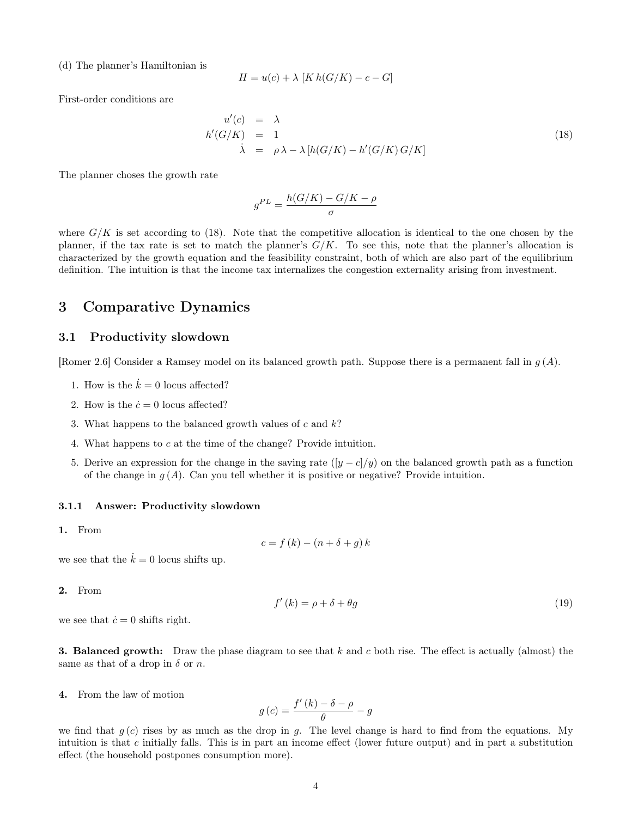(d) The planner's Hamiltonian is

$$
H = u(c) + \lambda \left[ K h(G/K) - c - G \right]
$$

First-order conditions are

$$
u'(c) = \lambda
$$
  
\n
$$
h'(G/K) = 1
$$
  
\n
$$
\dot{\lambda} = \rho \lambda - \lambda [h(G/K) - h'(G/K)G/K]
$$
\n(18)

The planner choses the growth rate

$$
g^{PL} = \frac{h(G/K) - G/K - \rho}{\sigma}
$$

where  $G/K$  is set according to (18). Note that the competitive allocation is identical to the one chosen by the planner, if the tax rate is set to match the planner's  $G/K$ . To see this, note that the planner's allocation is characterized by the growth equation and the feasibility constraint, both of which are also part of the equilibrium definition. The intuition is that the income tax internalizes the congestion externality arising from investment.

# 3 Comparative Dynamics

### 3.1 Productivity slowdown

[Romer 2.6] Consider a Ramsey model on its balanced growth path. Suppose there is a permanent fall in  $g(A)$ .

- 1. How is the  $\dot{k} = 0$  locus affected?
- 2. How is the  $\dot{c} = 0$  locus affected?
- 3. What happens to the balanced growth values of  $c$  and  $k$ ?
- 4. What happens to c at the time of the change? Provide intuition.
- 5. Derive an expression for the change in the saving rate  $([y c]/y)$  on the balanced growth path as a function of the change in  $g(A)$ . Can you tell whether it is positive or negative? Provide intuition.

#### 3.1.1 Answer: Productivity slowdown

1. From

$$
c = f(k) - (n + \delta + g) k
$$

we see that the  $\dot{k} = 0$  locus shifts up.

2. From

$$
f'(k) = \rho + \delta + \theta g \tag{19}
$$

we see that  $\dot{c} = 0$  shifts right.

**3. Balanced growth:** Draw the phase diagram to see that  $k$  and  $c$  both rise. The effect is actually (almost) the same as that of a drop in  $\delta$  or n.

4. From the law of motion

$$
g\left(c\right) = \frac{f'\left(k\right) - \delta - \rho}{\theta} - g
$$

we find that  $g(c)$  rises by as much as the drop in g. The level change is hard to find from the equations. My intuition is that c initially falls. This is in part an income effect (lower future output) and in part a substitution effect (the household postpones consumption more).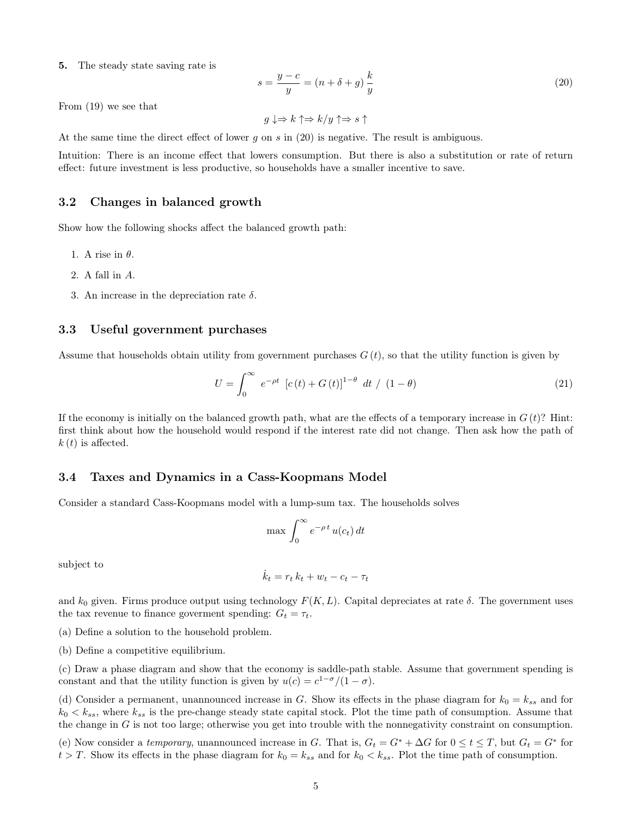5. The steady state saving rate is

$$
s = \frac{y - c}{y} = (n + \delta + g)\frac{k}{y}
$$
\n<sup>(20)</sup>

From (19) we see that

$$
g \downarrow \Rightarrow k \uparrow \Rightarrow k/y \uparrow \Rightarrow s \uparrow
$$

At the same time the direct effect of lower g on s in  $(20)$  is negative. The result is ambiguous.

Intuition: There is an income effect that lowers consumption. But there is also a substitution or rate of return effect: future investment is less productive, so households have a smaller incentive to save.

## 3.2 Changes in balanced growth

Show how the following shocks affect the balanced growth path:

- 1. A rise in  $\theta$ .
- 2. A fall in A.
- 3. An increase in the depreciation rate  $\delta$ .

### 3.3 Useful government purchases

Assume that households obtain utility from government purchases  $G(t)$ , so that the utility function is given by

$$
U = \int_0^\infty e^{-\rho t} \left[ c(t) + G(t) \right]^{1-\theta} dt / (1-\theta)
$$
\n(21)

If the economy is initially on the balanced growth path, what are the effects of a temporary increase in  $G(t)$ ? Hint: first think about how the household would respond if the interest rate did not change. Then ask how the path of  $k(t)$  is affected.

#### 3.4 Taxes and Dynamics in a Cass-Koopmans Model

Consider a standard Cass-Koopmans model with a lump-sum tax. The households solves

$$
\max \int_0^\infty e^{-\rho \, t} \, u(c_t) \, dt
$$

subject to

$$
\dot{k}_t = r_t k_t + w_t - c_t - \tau_t
$$

and  $k_0$  given. Firms produce output using technology  $F(K, L)$ . Capital depreciates at rate  $\delta$ . The government uses the tax revenue to finance goverment spending:  $G_t = \tau_t$ .

(a) Define a solution to the household problem.

(b) Define a competitive equilibrium.

(c) Draw a phase diagram and show that the economy is saddle-path stable. Assume that government spending is constant and that the utility function is given by  $u(c) = c^{1-\sigma}/(1-\sigma)$ .

(d) Consider a permanent, unannounced increase in G. Show its effects in the phase diagram for  $k_0 = k_{ss}$  and for  $k_0 < k_{ss}$ , where  $k_{ss}$  is the pre-change steady state capital stock. Plot the time path of consumption. Assume that the change in G is not too large; otherwise you get into trouble with the nonnegativity constraint on consumption.

(e) Now consider a temporary, unannounced increase in G. That is,  $G_t = G^* + \Delta G$  for  $0 \le t \le T$ , but  $G_t = G^*$  for  $t > T$ . Show its effects in the phase diagram for  $k_0 = k_{ss}$  and for  $k_0 < k_{ss}$ . Plot the time path of consumption.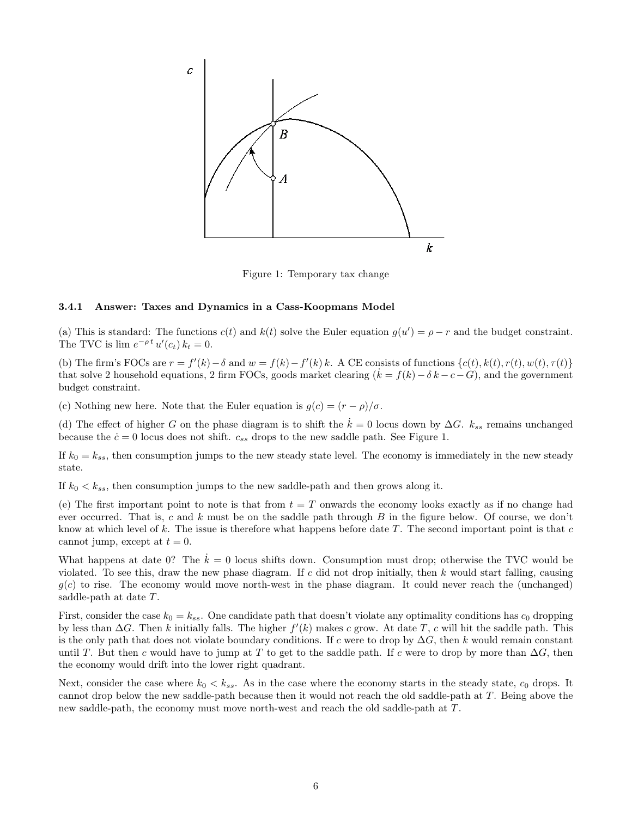

Figure 1: Temporary tax change

#### 3.4.1 Answer: Taxes and Dynamics in a Cass-Koopmans Model

(a) This is standard: The functions  $c(t)$  and  $k(t)$  solve the Euler equation  $g(u') = \rho - r$  and the budget constraint. The TVC is  $\lim_{t \to 0} e^{-\rho t} u'(c_t) k_t = 0.$ 

(b) The firm's FOCs are  $r = f'(k) - \delta$  and  $w = f(k) - f'(k)k$ . A CE consists of functions  $\{c(t), k(t), r(t), w(t), \tau(t)\}$ that solve 2 household equations, 2 firm FOCs, goods market clearing  $(k = f(k) - \delta k - c - G)$ , and the government budget constraint.

(c) Nothing new here. Note that the Euler equation is  $g(c) = (r - \rho)/\sigma$ .

(d) The effect of higher G on the phase diagram is to shift the  $\dot{k} = 0$  locus down by  $\Delta G$ .  $k_{ss}$  remains unchanged because the  $\dot{c} = 0$  locus does not shift.  $c_{ss}$  drops to the new saddle path. See Figure 1.

If  $k_0 = k_{ss}$ , then consumption jumps to the new steady state level. The economy is immediately in the new steady state.

If  $k_0 < k_{ss}$ , then consumption jumps to the new saddle-path and then grows along it.

(e) The first important point to note is that from  $t = T$  onwards the economy looks exactly as if no change had ever occurred. That is, c and k must be on the saddle path through B in the figure below. Of course, we don't know at which level of  $k$ . The issue is therefore what happens before date  $T$ . The second important point is that  $c$ cannot jump, except at  $t = 0$ .

What happens at date 0? The  $\dot{k} = 0$  locus shifts down. Consumption must drop; otherwise the TVC would be violated. To see this, draw the new phase diagram. If c did not drop initially, then  $k$  would start falling, causing  $g(c)$  to rise. The economy would move north-west in the phase diagram. It could never reach the (unchanged) saddle-path at date T.

First, consider the case  $k_0 = k_{ss}$ . One candidate path that doesn't violate any optimality conditions has  $c_0$  dropping by less than  $\Delta G$ . Then k initially falls. The higher  $f'(k)$  makes c grow. At date T, c will hit the saddle path. This is the only path that does not violate boundary conditions. If c were to drop by  $\Delta G$ , then k would remain constant until T. But then c would have to jump at T to get to the saddle path. If c were to drop by more than  $\Delta G$ , then the economy would drift into the lower right quadrant.

Next, consider the case where  $k_0 < k_{ss}$ . As in the case where the economy starts in the steady state,  $c_0$  drops. It cannot drop below the new saddle-path because then it would not reach the old saddle-path at T. Being above the new saddle-path, the economy must move north-west and reach the old saddle-path at T.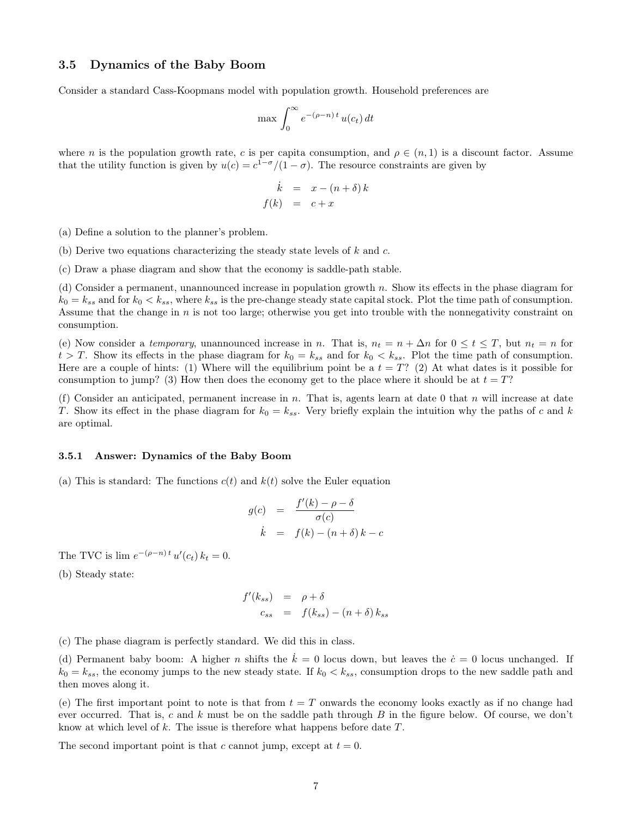## 3.5 Dynamics of the Baby Boom

Consider a standard Cass-Koopmans model with population growth. Household preferences are

$$
\max \int_0^\infty e^{-(\rho - n)t} u(c_t) dt
$$

where *n* is the population growth rate, *c* is per capita consumption, and  $\rho \in (n, 1)$  is a discount factor. Assume that the utility function is given by  $u(c) = c^{1-\sigma}/(1-\sigma)$ . The resource constraints are given by

$$
\begin{array}{rcl}\n\dot{k} & = & x - (n + \delta) k \\
f(k) & = & c + x\n\end{array}
$$

(a) Define a solution to the planner's problem.

(b) Derive two equations characterizing the steady state levels of  $k$  and  $c$ .

(c) Draw a phase diagram and show that the economy is saddle-path stable.

(d) Consider a permanent, unannounced increase in population growth n. Show its effects in the phase diagram for  $k_0 = k_{ss}$  and for  $k_0 < k_{ss}$ , where  $k_{ss}$  is the pre-change steady state capital stock. Plot the time path of consumption. Assume that the change in  $n$  is not too large; otherwise you get into trouble with the nonnegativity constraint on consumption.

(e) Now consider a temporary, unannounced increase in n. That is,  $n_t = n + \Delta n$  for  $0 \le t \le T$ , but  $n_t = n$  for  $t > T$ . Show its effects in the phase diagram for  $k_0 = k_{ss}$  and for  $k_0 < k_{ss}$ . Plot the time path of consumption. Here are a couple of hints: (1) Where will the equilibrium point be a  $t = T$ ? (2) At what dates is it possible for consumption to jump? (3) How then does the economy get to the place where it should be at  $t = T$ ?

(f) Consider an anticipated, permanent increase in  $n$ . That is, agents learn at date 0 that  $n$  will increase at date T. Show its effect in the phase diagram for  $k_0 = k_{ss}$ . Very briefly explain the intuition why the paths of c and k are optimal.

#### 3.5.1 Answer: Dynamics of the Baby Boom

(a) This is standard: The functions  $c(t)$  and  $k(t)$  solve the Euler equation

$$
g(c) = \frac{f'(k) - \rho - \delta}{\sigma(c)}
$$
  

$$
\dot{k} = f(k) - (n + \delta) k - c
$$

The TVC is  $\lim_{h \to 0} e^{-(\rho - h)t} u'(c_t) k_t = 0.$ 

(b) Steady state:

$$
f'(k_{ss}) = \rho + \delta
$$
  

$$
c_{ss} = f(k_{ss}) - (n + \delta) k_{ss}
$$

(c) The phase diagram is perfectly standard. We did this in class.

(d) Permanent baby boom: A higher n shifts the  $\dot{k} = 0$  locus down, but leaves the  $\dot{c} = 0$  locus unchanged. If  $k_0 = k_{ss}$ , the economy jumps to the new steady state. If  $k_0 < k_{ss}$ , consumption drops to the new saddle path and then moves along it.

(e) The first important point to note is that from  $t = T$  onwards the economy looks exactly as if no change had ever occurred. That is, c and k must be on the saddle path through B in the figure below. Of course, we don't know at which level of k. The issue is therefore what happens before date  $T$ .

The second important point is that c cannot jump, except at  $t = 0$ .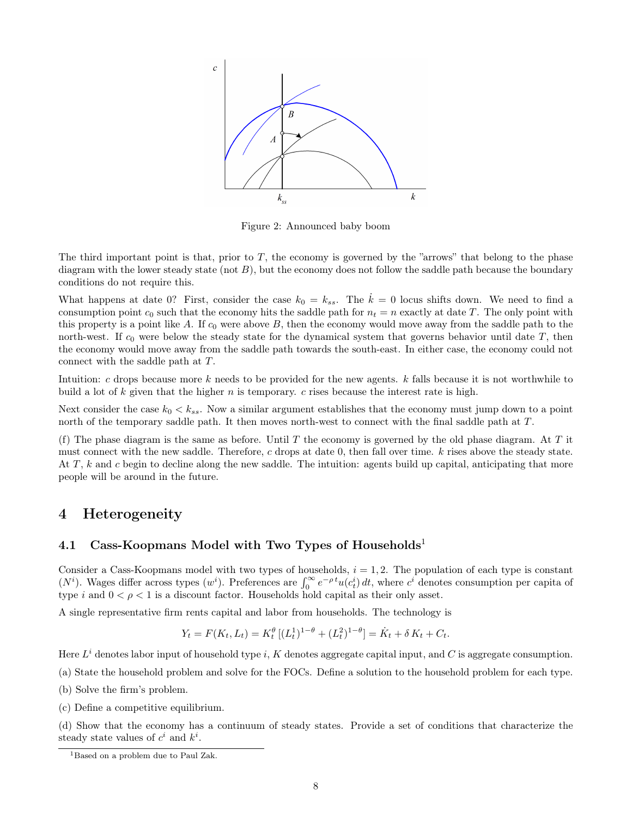

Figure 2: Announced baby boom

The third important point is that, prior to T, the economy is governed by the "arrows" that belong to the phase diagram with the lower steady state (not  $B$ ), but the economy does not follow the saddle path because the boundary conditions do not require this.

What happens at date 0? First, consider the case  $k_0 = k_{ss}$ . The  $\dot{k} = 0$  locus shifts down. We need to find a consumption point  $c_0$  such that the economy hits the saddle path for  $n_t = n$  exactly at date T. The only point with this property is a point like A. If  $c_0$  were above B, then the economy would move away from the saddle path to the north-west. If  $c_0$  were below the steady state for the dynamical system that governs behavior until date  $T$ , then the economy would move away from the saddle path towards the south-east. In either case, the economy could not connect with the saddle path at T.

Intuition: c drops because more k needs to be provided for the new agents. k falls because it is not worthwhile to build a lot of k given that the higher n is temporary. c rises because the interest rate is high.

Next consider the case  $k_0 < k_{ss}$ . Now a similar argument establishes that the economy must jump down to a point north of the temporary saddle path. It then moves north-west to connect with the final saddle path at T.

(f) The phase diagram is the same as before. Until T the economy is governed by the old phase diagram. At T it must connect with the new saddle. Therefore, c drops at date 0, then fall over time. k rises above the steady state. At  $T$ , k and c begin to decline along the new saddle. The intuition: agents build up capital, anticipating that more people will be around in the future.

# 4 Heterogeneity

# 4.1 Cass-Koopmans Model with Two Types of Households<sup>1</sup>

Consider a Cass-Koopmans model with two types of households,  $i = 1, 2$ . The population of each type is constant  $(N<sup>i</sup>)$ . Wages differ across types  $(w<sup>i</sup>)$ . Preferences are  $\int_0^\infty e^{-\rho t} u(c_t^i) dt$ , where  $c<sup>i</sup>$  denotes consumption per capita of type i and  $0 < \rho < 1$  is a discount factor. Households hold capital as their only asset.

A single representative firm rents capital and labor from households. The technology is

$$
Y_t = F(K_t, L_t) = K_t^{\theta} \left[ (L_t^1)^{1-\theta} + (L_t^2)^{1-\theta} \right] = \dot{K}_t + \delta K_t + C_t.
$$

Here  $L^i$  denotes labor input of household type i, K denotes aggregate capital input, and C is aggregate consumption.

(a) State the household problem and solve for the FOCs. Define a solution to the household problem for each type.

(b) Solve the firm's problem.

(c) Define a competitive equilibrium.

(d) Show that the economy has a continuum of steady states. Provide a set of conditions that characterize the steady state values of  $c^i$  and  $k^i$ .

<sup>&</sup>lt;sup>1</sup>Based on a problem due to Paul Zak.